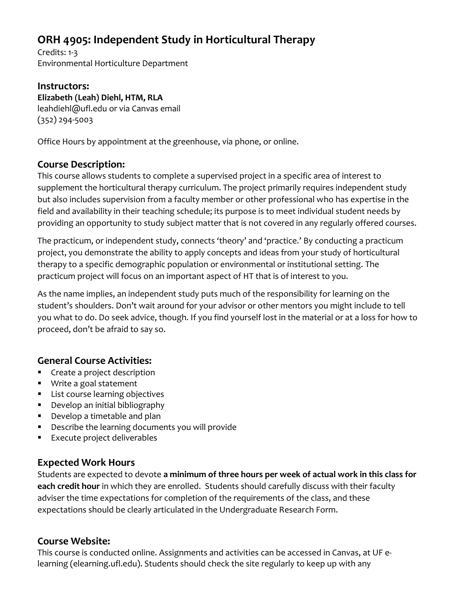# **ORH 4905: Independent Study in Horticultural Therapy**

Credits: 1-3 Environmental Horticulture Department

#### **Instructors: Elizabeth (Leah) Diehl, HTM, RLA** leahdiehl@ufl.edu or via Canvas email (352) 294-5003

Office Hours by appointment at the greenhouse, via phone, or online.

### **Course Description:**

This course allows students to complete a supervised project in a specific area of interest to supplement the horticultural therapy curriculum. The project primarily requires independent study but also includes supervision from a faculty member or other professional who has expertise in the field and availability in their teaching schedule; its purpose is to meet individual student needs by providing an opportunity to study subject matter that is not covered in any regularly offered courses.

The practicum, or independent study, connects 'theory' and 'practice.' By conducting a practicum project, you demonstrate the ability to apply concepts and ideas from your study of horticultural therapy to a specific demographic population or environmental or institutional setting. The practicum project will focus on an important aspect of HT that is of interest to you.

As the name implies, an independent study puts much of the responsibility for learning on the student's shoulders. Don't wait around for your advisor or other mentors you might include to tell you what to do. Do seek advice, though. If you find yourself lost in the material or at a loss for how to proceed, don't be afraid to say so.

### **General Course Activities:**

- Create a project description
- Write a goal statement
- List course learning objectives
- Develop an initial bibliography
- Develop a timetable and plan
- Describe the learning documents you will provide
- Execute project deliverables

### **Expected Work Hours**

Students are expected to devote **a minimum of three hours per week of actual work in this class for each credit hour** in which they are enrolled. Students should carefully discuss with their faculty adviser the time expectations for completion of the requirements of the class, and these expectations should be clearly articulated in the Undergraduate Research Form.

#### **Course Website:**

This course is conducted online. Assignments and activities can be accessed in Canvas, at UF elearning (elearning.ufl.edu). Students should check the site regularly to keep up with any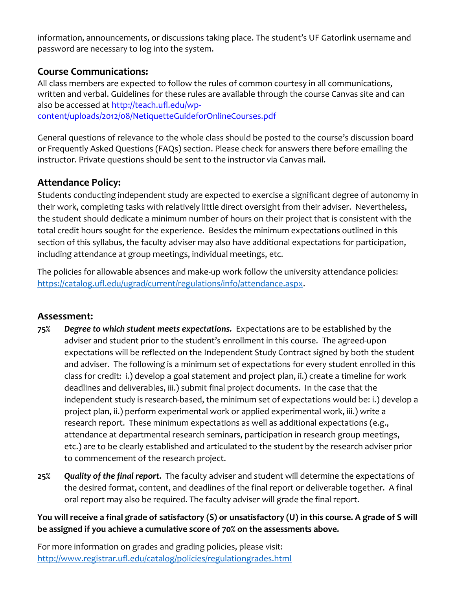information, announcements, or discussions taking place. The student's UF Gatorlink username and password are necessary to log into the system.

#### **Course Communications:**

All class members are expected to follow the rules of common courtesy in all communications, written and verbal. Guidelines for these rules are available through the course Canvas site and can also be accessed at http://teach.ufl.edu/wpcontent/uploads/2012/08/NetiquetteGuideforOnlineCourses.pdf

General questions of relevance to the whole class should be posted to the course's discussion board or Frequently Asked Questions (FAQs) section. Please check for answers there before emailing the instructor. Private questions should be sent to the instructor via Canvas mail.

# **Attendance Policy:**

Students conducting independent study are expected to exercise a significant degree of autonomy in their work, completing tasks with relatively little direct oversight from their adviser. Nevertheless, the student should dedicate a minimum number of hours on their project that is consistent with the total credit hours sought for the experience. Besides the minimum expectations outlined in this section of this syllabus, the faculty adviser may also have additional expectations for participation, including attendance at group meetings, individual meetings, etc.

The policies for allowable absences and make-up work follow the university attendance policies: [https://catalog.ufl.edu/ugrad/current/regulations/info/attendance.aspx.](https://catalog.ufl.edu/ugrad/current/regulations/info/attendance.aspx)

### **Assessment:**

- **75%** *Degree to which student meets expectations.* Expectations are to be established by the adviser and student prior to the student's enrollment in this course. The agreed-upon expectations will be reflected on the Independent Study Contract signed by both the student and adviser. The following is a minimum set of expectations for every student enrolled in this class for credit: i.) develop a goal statement and project plan, ii.) create a timeline for work deadlines and deliverables, iii.) submit final project documents. In the case that the independent study is research-based, the minimum set of expectations would be: i.) develop a project plan, ii.) perform experimental work or applied experimental work, iii.) write a research report. These minimum expectations as well as additional expectations (e.g., attendance at departmental research seminars, participation in research group meetings, etc.) are to be clearly established and articulated to the student by the research adviser prior to commencement of the research project.
- **25%** *Quality of the final report.* The faculty adviser and student will determine the expectations of the desired format, content, and deadlines of the final report or deliverable together. A final oral report may also be required. The faculty adviser will grade the final report.

#### **You will receive a final grade of satisfactory (S) or unsatisfactory (U) in this course. A grade of S will be assigned if you achieve a cumulative score of 70% on the assessments above.**

For more information on grades and grading policies, please visit: <http://www.registrar.ufl.edu/catalog/policies/regulationgrades.html>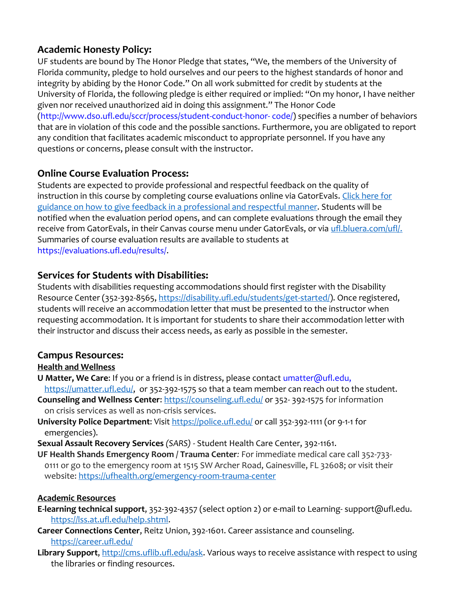### **Academic Honesty Policy:**

UF students are bound by The Honor Pledge that states, "We, the members of the University of Florida community, pledge to hold ourselves and our peers to the highest standards of honor and integrity by abiding by the Honor Code." On all work submitted for credit by students at the University of Florida, the following pledge is either required or implied: "On my honor, I have neither given nor received unauthorized aid in doing this assignment." The Honor Code (http://www.dso.ufl.edu/sccr/process/student-conduct-honor- code/) specifies a number of behaviors that are in violation of this code and the possible sanctions. Furthermore, you are obligated to report any condition that facilitates academic misconduct to appropriate personnel. If you have any questions or concerns, please consult with the instructor.

# **Online Course Evaluation Process:**

Students are expected to provide professional and respectful feedback on the quality of instruction in this course by completing course evaluations online via GatorEvals. Click here for [guidance on how to give feedback in a professional and respectful manner.](file:///C:/Users/lilyrlewis/AppData/Local/Microsoft/Windows/INetCache/Content.Outlook/LU96BFUU/gatorevals.aa.ufl.edu/students/) Students will be notified when the evaluation period opens, and can complete evaluations through the email they receive from GatorEvals, in their Canvas course menu under GatorEvals, or via ufl.bluera.com/ufl/. Summaries of course evaluation results are available to students at https://evaluations.ufl.edu/results/.

### **Services for Students with Disabilities:**

Students with disabilities requesting accommodations should first register with the Disability Resource Center (352-392-8565, [https://disability.ufl.edu/students/get-started/\)](https://disability.ufl.edu/students/get-started/). Once registered, students will receive an accommodation letter that must be presented to the instructor when requesting accommodation. It is important for students to share their accommodation letter with their instructor and discuss their access needs, as early as possible in the semester.

#### **Campus Resources:**

#### **Health and Wellness**

- **U Matter, We Care**: If you or a friend is in distress, please contact umatter@ufl.edu, [https://umatter.ufl.edu/,](https://umatter.ufl.edu/) or 352-392-1575 so that a team member can reach out to the student.
- **Counseling and Wellness Center:** <https://counseling.ufl.edu/> or 352-392-1575 for information on crisis services as well as non-crisis services.
- **University Police Department:** Visit<https://police.ufl.edu/> or call 352-392-1111 (or 9-1-1 for emergencies).
- **Sexual Assault Recovery Services** *(SARS)*  Student Health Care Center, 392-1161.
- **UF Health Shands Emergency Room / Trauma Center***:* For immediate medical care call 352-733- 0111 or go to the emergency room at 1515 SW Archer Road, Gainesville, FL 32608; or visit their website:<https://ufhealth.org/emergency-room-trauma-center>

#### **Academic Resources**

- **E-learning technical support**, 352-392-4357 (select option 2) or e-mail to Learning- support@ufl.edu. [https://lss.at.ufl.edu/help.shtml.](https://lss.at.ufl.edu/help.shtml)
- **Career Connections Center**, Reitz Union, 392-1601. Career assistance and counseling. <https://career.ufl.edu/>
- Library Support, [http://cms.uflib.ufl.edu/ask.](http://cms.uflib.ufl.edu/ask) Various ways to receive assistance with respect to using the libraries or finding resources.